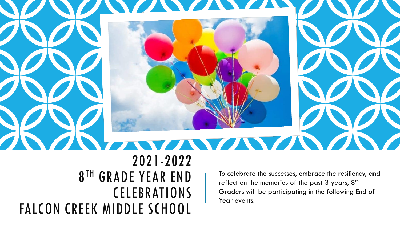

2021-2022 8 TH GRADE YEAR END CELEBRATIONS FALCON CREEK MIDDLE SCHOOL

To celebrate the successes, embrace the resiliency, and reflect on the memories of the past  $3$  years,  $8<sup>th</sup>$ Graders will be participating in the following End of Year events.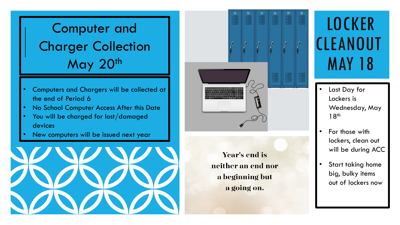## Computer and Charger Collection May 20th

- Computers and Chargers will be collected at the end of Period 6
- No School Computer Access After this Date
- You will be charged for lost/damaged devices
- New computers will be issued next year





**Year's end is** neither an end nor a beginning but a going on.

## **LOCKER CLEANOUT** MAY 18

- Last Day for Lockers is Wednesday, May 18th
- For those with lockers, clean out will be during ACC
- Start taking home big, bulky items out of lockers now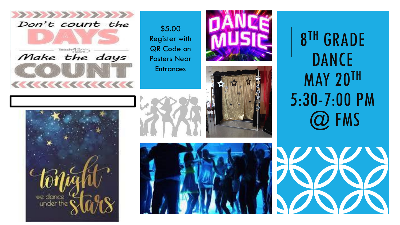

\$5.00 Register with QR Code on Posters Near **Entrances** 





8 TH GRADE DANCE MAY 20TH 5:30 -7:00 PM @ FMS







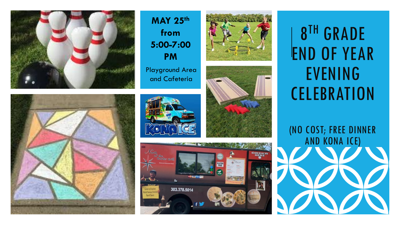



**MAY 25th from 5:00 -7:00 PM** Playground Area and Cafeteria





8 TH GRADE END OF YEAR EVENING **CELEBRATION** 

(NO COST; FREE DINNER AND KONA ICE)